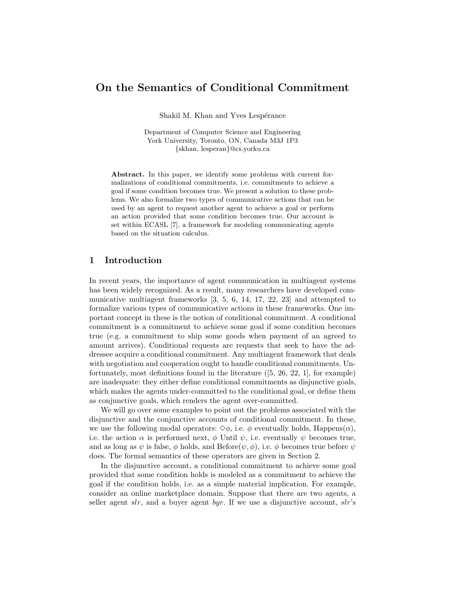# On the Semantics of Conditional Commitment

Shakil M. Khan and Yves Lespérance

Department of Computer Science and Engineering York University, Toronto, ON, Canada M3J 1P3 {skhan, lesperan}@cs.yorku.ca

Abstract. In this paper, we identify some problems with current formalizations of conditional commitments, i.e. commitments to achieve a goal if some condition becomes true. We present a solution to these problems. We also formalize two types of communicative actions that can be used by an agent to request another agent to achieve a goal or perform an action provided that some condition becomes true. Our account is set within ECASL [7], a framework for modeling communicating agents based on the situation calculus.

# 1 Introduction

In recent years, the importance of agent communication in multiagent systems has been widely recognized. As a result, many researchers have developed communicative multiagent frameworks [3, 5, 6, 14, 17, 22, 23] and attempted to formalize various types of communicative actions in these frameworks. One important concept in these is the notion of conditional commitment. A conditional commitment is a commitment to achieve some goal if some condition becomes true (e.g. a commitment to ship some goods when payment of an agreed to amount arrives). Conditional requests are requests that seek to have the addressee acquire a conditional commitment. Any multiagent framework that deals with negotiation and cooperation ought to handle conditional commitments. Unfortunately, most definitions found in the literature ([5, 26, 22, 1], for example) are inadequate: they either define conditional commitments as disjunctive goals, which makes the agents under-committed to the conditional goal, or define them as conjunctive goals, which renders the agent over-committed.

We will go over some examples to point out the problems associated with the disjunctive and the conjunctive accounts of conditional commitment. In these, we use the following modal operators:  $\diamond \phi$ , i.e.  $\phi$  eventually holds, Happens $(\alpha)$ , i.e. the action  $\alpha$  is performed next,  $\phi$  Until  $\psi$ , i.e. eventually  $\psi$  becomes true, and as long as  $\psi$  is false,  $\phi$  holds, and Before $(\psi, \phi)$ , i.e.  $\phi$  becomes true before  $\psi$ does. The formal semantics of these operators are given in Section 2.

In the disjunctive account, a conditional commitment to achieve some goal provided that some condition holds is modeled as a commitment to achieve the goal if the condition holds, i.e. as a simple material implication. For example, consider an online marketplace domain. Suppose that there are two agents, a seller agent slr, and a buyer agent byr. If we use a disjunctive account,  $slr$ 's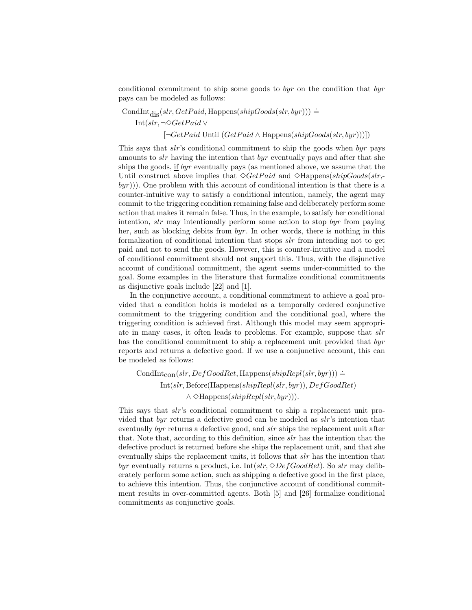conditional commitment to ship some goods to byr on the condition that byr pays can be modeled as follows:

CondInt $_{dis}(slr, GetPaid, Happens(shipGoods(slr, byr))) =$ Int(slr,  $\neg \Diamond GetPaid$  ∨

 $[\neg GetPaul$  Until  $(GetPaid \wedge \text{Happens}(shipGoods(slr, bur)))]$ 

This says that  $slr$ 's conditional commitment to ship the goods when byr pays amounts to slr having the intention that byr eventually pays and after that she ships the goods, if byr eventually pays (as mentioned above, we assume that the Until construct above implies that  $\Diamond GetPaid$  and  $\Diamond Happens(shipGoods(s)$  $(byr)$ ). One problem with this account of conditional intention is that there is a counter-intuitive way to satisfy a conditional intention, namely, the agent may commit to the triggering condition remaining false and deliberately perform some action that makes it remain false. Thus, in the example, to satisfy her conditional intention, slr may intentionally perform some action to stop byr from paying her, such as blocking debits from byr. In other words, there is nothing in this formalization of conditional intention that stops slr from intending not to get paid and not to send the goods. However, this is counter-intuitive and a model of conditional commitment should not support this. Thus, with the disjunctive account of conditional commitment, the agent seems under-committed to the goal. Some examples in the literature that formalize conditional commitments as disjunctive goals include [22] and [1].

In the conjunctive account, a conditional commitment to achieve a goal provided that a condition holds is modeled as a temporally ordered conjunctive commitment to the triggering condition and the conditional goal, where the triggering condition is achieved first. Although this model may seem appropriate in many cases, it often leads to problems. For example, suppose that slr has the conditional commitment to ship a replacement unit provided that byr reports and returns a defective good. If we use a conjunctive account, this can be modeled as follows:

 $\text{CondInt}_{\text{con}}(slr, DefGoodRet, \text{Happens}(shipRep(slr, byr))) =$  $Int(slr, Before(Happens(shipRepl(slr, byr)), DefGoodRet)$  $\land \Diamond$ Happens(ship $Repl(slr, bur))$ ).

This says that slr's conditional commitment to ship a replacement unit provided that byr returns a defective good can be modeled as slr's intention that eventually byr returns a defective good, and slr ships the replacement unit after that. Note that, according to this definition, since slr has the intention that the defective product is returned before she ships the replacement unit, and that she eventually ships the replacement units, it follows that slr has the intention that byr eventually returns a product, i.e.  $Int(slr, \Diamond DefGoodRet)$ . So slr may deliberately perform some action, such as shipping a defective good in the first place, to achieve this intention. Thus, the conjunctive account of conditional commitment results in over-committed agents. Both [5] and [26] formalize conditional commitments as conjunctive goals.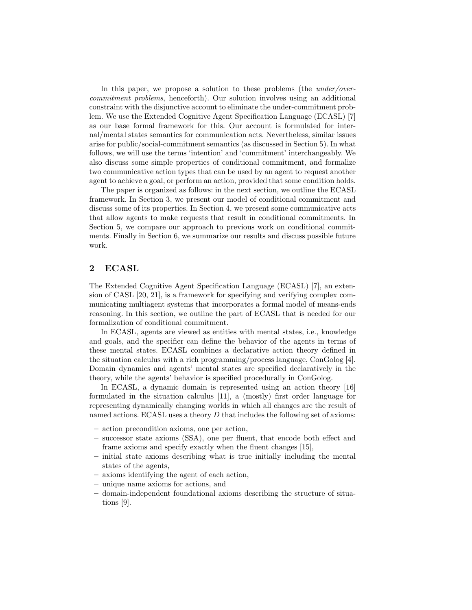In this paper, we propose a solution to these problems (the *under/over*commitment problems, henceforth). Our solution involves using an additional constraint with the disjunctive account to eliminate the under-commitment problem. We use the Extended Cognitive Agent Specification Language (ECASL) [7] as our base formal framework for this. Our account is formulated for internal/mental states semantics for communication acts. Nevertheless, similar issues arise for public/social-commitment semantics (as discussed in Section 5). In what follows, we will use the terms 'intention' and 'commitment' interchangeably. We also discuss some simple properties of conditional commitment, and formalize two communicative action types that can be used by an agent to request another agent to achieve a goal, or perform an action, provided that some condition holds.

The paper is organized as follows: in the next section, we outline the ECASL framework. In Section 3, we present our model of conditional commitment and discuss some of its properties. In Section 4, we present some communicative acts that allow agents to make requests that result in conditional commitments. In Section 5, we compare our approach to previous work on conditional commitments. Finally in Section 6, we summarize our results and discuss possible future work.

## 2 ECASL

The Extended Cognitive Agent Specification Language (ECASL) [7], an extension of CASL [20, 21], is a framework for specifying and verifying complex communicating multiagent systems that incorporates a formal model of means-ends reasoning. In this section, we outline the part of ECASL that is needed for our formalization of conditional commitment.

In ECASL, agents are viewed as entities with mental states, i.e., knowledge and goals, and the specifier can define the behavior of the agents in terms of these mental states. ECASL combines a declarative action theory defined in the situation calculus with a rich programming/process language, ConGolog [4]. Domain dynamics and agents' mental states are specified declaratively in the theory, while the agents' behavior is specified procedurally in ConGolog.

In ECASL, a dynamic domain is represented using an action theory [16] formulated in the situation calculus [11], a (mostly) first order language for representing dynamically changing worlds in which all changes are the result of named actions. ECASL uses a theory  $D$  that includes the following set of axioms:

- action precondition axioms, one per action,
- successor state axioms (SSA), one per fluent, that encode both effect and frame axioms and specify exactly when the fluent changes [15],
- initial state axioms describing what is true initially including the mental states of the agents,
- axioms identifying the agent of each action,
- unique name axioms for actions, and
- domain-independent foundational axioms describing the structure of situations [9].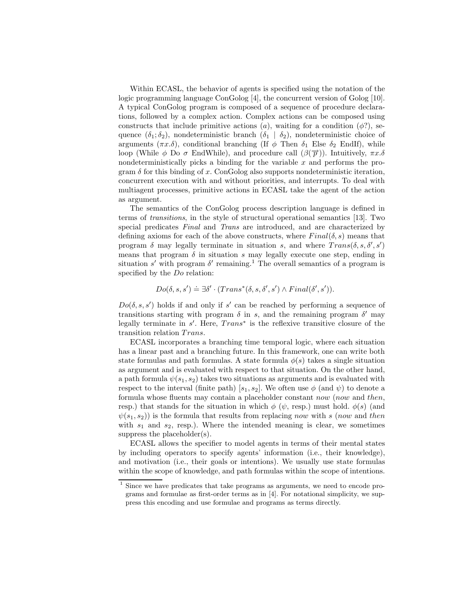Within ECASL, the behavior of agents is specified using the notation of the logic programming language ConGolog [4], the concurrent version of Golog [10]. A typical ConGolog program is composed of a sequence of procedure declarations, followed by a complex action. Complex actions can be composed using constructs that include primitive actions  $(a)$ , waiting for a condition  $(\phi')$ , sequence  $(\delta_1; \delta_2)$ , nondeterministic branch  $(\delta_1 | \delta_2)$ , nondeterministic choice of arguments  $(\pi x.\delta)$ , conditional branching (If  $\phi$  Then  $\delta_1$  Else  $\delta_2$  EndIf), while loop (While  $\phi$  Do  $\sigma$  EndWhile), and procedure call  $(\beta(\vec{p}))$ . Intuitively,  $\pi x.\delta$ nondeterministically picks a binding for the variable  $x$  and performs the program  $\delta$  for this binding of x. ConGolog also supports nondeterministic iteration, concurrent execution with and without priorities, and interrupts. To deal with multiagent processes, primitive actions in ECASL take the agent of the action as argument.

The semantics of the ConGolog process description language is defined in terms of transitions, in the style of structural operational semantics [13]. Two special predicates Final and Trans are introduced, and are characterized by defining axioms for each of the above constructs, where  $Final(\delta, s)$  means that program  $\delta$  may legally terminate in situation s, and where  $Trans(\delta, s, \delta', s')$ means that program  $\delta$  in situation s may legally execute one step, ending in situation s' with program  $\delta'$  remaining.<sup>1</sup> The overall semantics of a program is specified by the Do relation:

$$
Do(\delta, s, s') \doteq \exists \delta' \cdot (Trans^*(\delta, s, \delta', s') \land Final(\delta', s')).
$$

 $Do(\delta, s, s')$  holds if and only if s' can be reached by performing a sequence of transitions starting with program  $\delta$  in s, and the remaining program  $\delta'$  may legally terminate in s'. Here, Trans<sup>\*</sup> is the reflexive transitive closure of the transition relation Trans.

ECASL incorporates a branching time temporal logic, where each situation has a linear past and a branching future. In this framework, one can write both state formulas and path formulas. A state formula  $\phi(s)$  takes a single situation as argument and is evaluated with respect to that situation. On the other hand, a path formula  $\psi(s_1, s_2)$  takes two situations as arguments and is evaluated with respect to the interval (finite path)  $[s_1, s_2]$ . We often use  $\phi$  (and  $\psi$ ) to denote a formula whose fluents may contain a placeholder constant now (now and then, resp.) that stands for the situation in which  $\phi$  ( $\psi$ , resp.) must hold.  $\phi(s)$  (and  $\psi(s_1, s_2)$ ) is the formula that results from replacing now with s (now and then with  $s_1$  and  $s_2$ , resp.). Where the intended meaning is clear, we sometimes suppress the placeholder(s).

ECASL allows the specifier to model agents in terms of their mental states by including operators to specify agents' information (i.e., their knowledge), and motivation (i.e., their goals or intentions). We usually use state formulas within the scope of knowledge, and path formulas within the scope of intentions.

<sup>&</sup>lt;sup>1</sup> Since we have predicates that take programs as arguments, we need to encode programs and formulae as first-order terms as in [4]. For notational simplicity, we suppress this encoding and use formulae and programs as terms directly.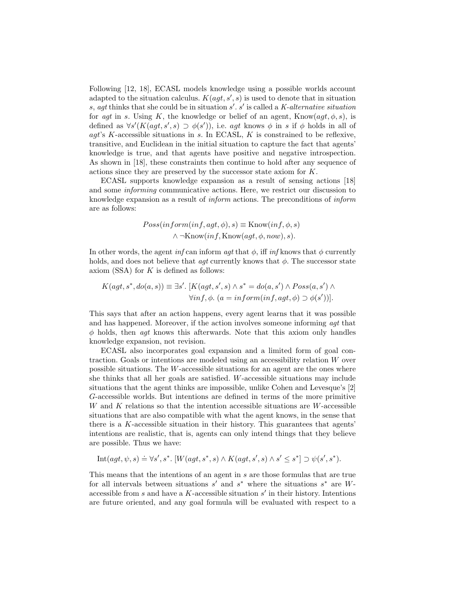Following [12, 18], ECASL models knowledge using a possible worlds account adapted to the situation calculus.  $K(agt, s', s)$  is used to denote that in situation s, agt thinks that she could be in situation  $s'$ .  $s'$  is called a K-alternative situation for agt in s. Using K, the knowledge or belief of an agent, Know $(agt, \phi, s)$ , is defined as  $\forall s'(K(\overline{agt}, s', s) \supset \phi(s'))$ , i.e. agt knows  $\phi$  in s if  $\phi$  holds in all of agt's  $K$ -accessible situations in  $s$ . In ECASL,  $K$  is constrained to be reflexive, transitive, and Euclidean in the initial situation to capture the fact that agents' knowledge is true, and that agents have positive and negative introspection. As shown in [18], these constraints then continue to hold after any sequence of actions since they are preserved by the successor state axiom for K.

ECASL supports knowledge expansion as a result of sensing actions [18] and some informing communicative actions. Here, we restrict our discussion to knowledge expansion as a result of inform actions. The preconditions of inform are as follows:

$$
Poss(inform(inf,agt, \phi), s) \equiv \text{Know}(inf, \phi, s)
$$

$$
\land \neg \text{Know}(inf, \text{Know}(agt, \phi, now), s).
$$

In other words, the agent *inf* can inform *agt* that  $\phi$ , iff *inf* knows that  $\phi$  currently holds, and does not believe that *agt* currently knows that  $\phi$ . The successor state axiom  $(SSA)$  for K is defined as follows:

$$
K(agt, s^*, do(a, s)) \equiv \exists s'. \ [K(agt, s', s) \land s^* = do(a, s') \land Poss(a, s') \land \forall inf, \phi. (a = inform(inf,agt, \phi) \supset \phi(s'))].
$$

This says that after an action happens, every agent learns that it was possible and has happened. Moreover, if the action involves someone informing agt that  $\phi$  holds, then *agt* knows this afterwards. Note that this axiom only handles knowledge expansion, not revision.

ECASL also incorporates goal expansion and a limited form of goal contraction. Goals or intentions are modeled using an accessibility relation W over possible situations. The W-accessible situations for an agent are the ones where she thinks that all her goals are satisfied. W-accessible situations may include situations that the agent thinks are impossible, unlike Cohen and Levesque's [2] G-accessible worlds. But intentions are defined in terms of the more primitive W and K relations so that the intention accessible situations are  $W$ -accessible situations that are also compatible with what the agent knows, in the sense that there is a  $K$ -accessible situation in their history. This guarantees that agents' intentions are realistic, that is, agents can only intend things that they believe are possible. Thus we have:

$$
Int(agt, \psi, s) \doteq \forall s', s^*. [W(agt, s^*, s) \wedge K(agt, s', s) \wedge s' \le s^*] \supset \psi(s', s^*).
$$

This means that the intentions of an agent in s are those formulas that are true for all intervals between situations  $s'$  and  $s^*$  where the situations  $s^*$  are Waccessible from  $s$  and have a  $K$ -accessible situation  $s'$  in their history. Intentions are future oriented, and any goal formula will be evaluated with respect to a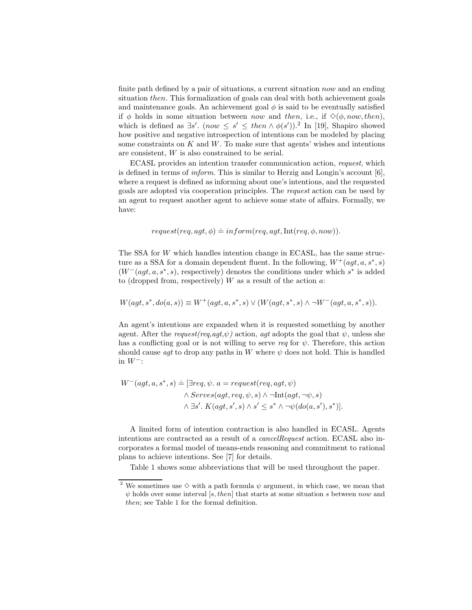finite path defined by a pair of situations, a current situation now and an ending situation then. This formalization of goals can deal with both achievement goals and maintenance goals. An achievement goal  $\phi$  is said to be eventually satisfied if  $\phi$  holds in some situation between now and then, i.e., if  $\Diamond(\phi, now, then)$ , which is defined as  $\exists s'$ . (now  $\leq s' \leq$  then  $\wedge \phi(s')$ ).<sup>2</sup> In [19], Shapiro showed how positive and negative introspection of intentions can be modeled by placing some constraints on  $K$  and  $W$ . To make sure that agents' wishes and intentions are consistent, W is also constrained to be serial.

ECASL provides an intention transfer communication action, request, which is defined in terms of *inform*. This is similar to Herzig and Longin's account  $[6]$ , where a request is defined as informing about one's intentions, and the requested goals are adopted via cooperation principles. The request action can be used by an agent to request another agent to achieve some state of affairs. Formally, we have:

$$
request(req,agt, \phi) \doteq inform(req,agt,Int(req, \phi, now)).
$$

The SSA for W which handles intention change in ECASL, has the same structure as a SSA for a domain dependent fluent. In the following,  $W^+(agt, a, s^*, s)$  $(W^-(agt, a, s^*, s)$ , respectively) denotes the conditions under which  $s^*$  is added to (dropped from, respectively) W as a result of the action  $a$ :

$$
W(agt, s^*, do(a, s)) \equiv W^+(agt, a, s^*, s) \lor (W(agt, s^*, s) \land \neg W^-(agt, a, s^*, s)).
$$

An agent's intentions are expanded when it is requested something by another agent. After the request(req,agt, $\psi$ ) action, agt adopts the goal that  $\psi$ , unless she has a conflicting goal or is not willing to serve req for  $\psi$ . Therefore, this action should cause *agt* to drop any paths in W where  $\psi$  does not hold. This is handled in  $W^-$ :

$$
W^-(agt, a, s^*, s) \doteq [\exists req, \psi. a = request(req,agt, \psi) \land Serves(agt, req, \psi, s) \land \neg Int(agt, \neg \psi, s) \land \exists s'. K(agt, s', s) \land s' \leq s^* \land \neg \psi(do(a, s'), s^*)].
$$

A limited form of intention contraction is also handled in ECASL. Agents intentions are contracted as a result of a cancelRequest action. ECASL also incorporates a formal model of means-ends reasoning and commitment to rational plans to achieve intentions. See [7] for details.

Table 1 shows some abbreviations that will be used throughout the paper.

<sup>&</sup>lt;sup>2</sup> We sometimes use  $\diamond$  with a path formula  $\psi$  argument, in which case, we mean that  $\psi$  holds over some interval [s, then] that starts at some situation s between now and then; see Table 1 for the formal definition.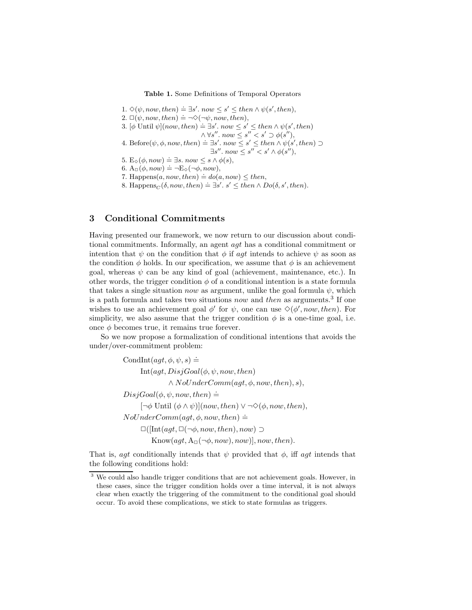Table 1. Some Definitions of Temporal Operators

1.  $\Diamond(\psi, now, then) \doteq \exists s'. now \leq s' \leq then \land \psi(s', then),$ 2.  $\Box(\psi, now, then) = \Box \circ \cdot now \leq \circ \leq mc$ <br>2.  $\Box(\psi, now, then) \doteq \neg \Diamond(\neg \psi, now, then),$ 3.  $[\phi \text{ Until } \psi](now, then) = \exists s'. now \leq s' \leq then \land \psi(s', then)$  $\land \forall s'' \ldotp \mathit{now} \leq s'' < s' \supset \phi(s''),$ 4. Before $(\psi, \phi, now, then) \doteq \exists s'. now \leq s' \leq then \wedge \psi(s', then) \supset$  $\exists s''\ldotp\mathit{now} \leq s'' < s' \wedge \phi(s''),$ 5. E $_{\diamond}(\phi, now) \doteq \exists s. now \leq s \wedge \phi(s),$ 6.  $A_{\Box}(\phi, now) = \Box s \cdot now \leq s' \wedge s$ <br>6.  $A_{\Box}(\phi, now) \doteq \neg E_{\Diamond}(\neg \phi, now)$ , 7. Happens $(a, now, then) \doteq do(a, now) \leq then,$ 8. Happens( $\alpha$ , now, then) =  $\exists s'$ .  $s' \leq$  then  $\land$   $Do(\delta, s', then)$ .

# 3 Conditional Commitments

Having presented our framework, we now return to our discussion about conditional commitments. Informally, an agent agt has a conditional commitment or intention that  $\psi$  on the condition that  $\phi$  if agt intends to achieve  $\psi$  as soon as the condition  $\phi$  holds. In our specification, we assume that  $\phi$  is an achievement goal, whereas  $\psi$  can be any kind of goal (achievement, maintenance, etc.). In other words, the trigger condition  $\phi$  of a conditional intention is a state formula that takes a single situation now as argument, unlike the goal formula  $\psi$ , which is a path formula and takes two situations now and then as arguments.<sup>3</sup> If one wishes to use an achievement goal  $\phi'$  for  $\psi$ , one can use  $\Diamond(\phi', now, then)$ . For simplicity, we also assume that the trigger condition  $\phi$  is a one-time goal, i.e. once  $\phi$  becomes true, it remains true forever.

So we now propose a formalization of conditional intentions that avoids the under/over-commitment problem:

> CondInt $(agt, \phi, \psi, s) \doteq$  $Int(aqt, DisjGoal(\phi, \psi, now, then))$  $\wedge \text{NoUnderComm}(agt, \phi, now, then), s),$  $DisjGoal(\phi, \psi, now, then) \doteq$  $[\neg \phi \text{ Until } (\phi \land \psi)](now, then) \lor \neg \Diamond(\phi, now, then),$  $Nol'nderComm(agt, \phi, now, then) =$  $\Box$ ( $\mathrm{Int}(agt, \Box(\neg \phi, now, then), now)$ ) Know $(agt, A<sub>□</sub>(¬φ, now), now)], now, then).$

That is, agt conditionally intends that  $\psi$  provided that  $\phi$ , iff agt intends that the following conditions hold:

<sup>3</sup> We could also handle trigger conditions that are not achievement goals. However, in these cases, since the trigger condition holds over a time interval, it is not always clear when exactly the triggering of the commitment to the conditional goal should occur. To avoid these complications, we stick to state formulas as triggers.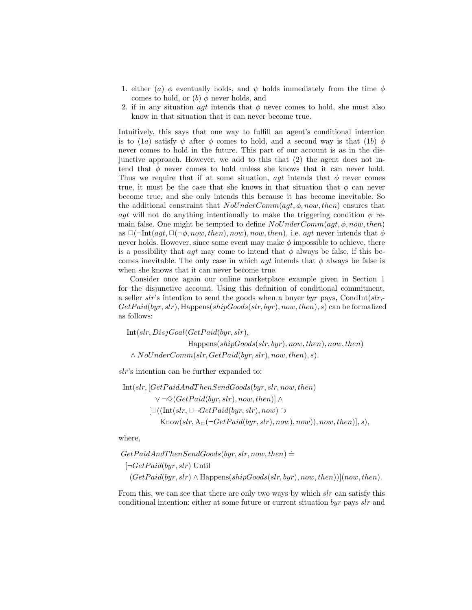- 1. either (a)  $\phi$  eventually holds, and  $\psi$  holds immediately from the time  $\phi$ comes to hold, or  $(b)$   $\phi$  never holds, and
- 2. if in any situation *agt* intends that  $\phi$  never comes to hold, she must also know in that situation that it can never become true.

Intuitively, this says that one way to fulfill an agent's conditional intention is to (1a) satisfy  $\psi$  after  $\phi$  comes to hold, and a second way is that (1b)  $\phi$ never comes to hold in the future. This part of our account is as in the disjunctive approach. However, we add to this that (2) the agent does not intend that  $\phi$  never comes to hold unless she knows that it can never hold. Thus we require that if at some situation, agt intends that  $\phi$  never comes true, it must be the case that she knows in that situation that  $\phi$  can never become true, and she only intends this because it has become inevitable. So the additional constraint that  $Nol$  nder Comm(aqt,  $\phi$ , now, then) ensures that agt will not do anything intentionally to make the triggering condition  $\phi$  remain false. One might be tempted to define  $NoUnderComm(agt, \phi, now, then)$ as  $\Box(\neg \text{Int}(agt, \Box(\neg \phi, now, then), now), now, then),$  i.e. agt never intends that  $\phi$ never holds. However, since some event may make  $\phi$  impossible to achieve, there is a possibility that *agt* may come to intend that  $\phi$  always be false, if this becomes inevitable. The only case in which *agt* intends that  $\phi$  always be false is when she knows that it can never become true.

Consider once again our online marketplace example given in Section 1 for the disjunctive account. Using this definition of conditional commitment, a seller slr's intention to send the goods when a buyer by pays, CondInt $(slr,-)$  $GetPaid(byr, slr)$ , Happens( $shipGoods(slr, byr)$ , now, then), s) can be formalized as follows:

Int(slr, DisjGoal(GetPaid(byr, slr),  $Happens(shipGoods(str, byr), now, then), now, then)$  $\land \textit{NoUnderComm}(\textit{slr}, \textit{GetPaid}(\textit{byr}, \textit{slr}), \textit{now}, \textit{then}), s).$ 

slr's intention can be further expanded to:

Int(slr, [GetPaidAndThenSendGoods(byr, slr, now, then)  $\vee \neg \Diamond (GetPaid(byr, slr), now, then)$ ] ∧  $\Box((\mathrm{Int}(slr, \Box\neg GetPaul(byr, slr), now) \supset$  $Know(slr, A<sub>□</sub>(¬GetPaid(byr, slr), now), now)), now, then)], s),$ 

where,

 $GetPaidAndThenSendGoods (byr, slr, now, then) \doteq$  $\neg GetPaid(byr, slr)$  Until  $(GetPaid(byr, slr) \wedge Happens(shipGoods(slr, byr), now, then)$ ](now, then).

From this, we can see that there are only two ways by which slr can satisfy this conditional intention: either at some future or current situation byr pays slr and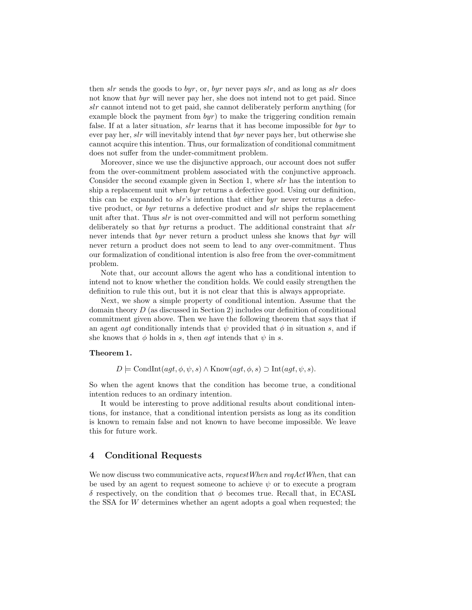then slr sends the goods to byr, or, byr never pays  $slr$ , and as long as  $slr$  does not know that *byr* will never pay her, she does not intend not to get paid. Since slr cannot intend not to get paid, she cannot deliberately perform anything (for example block the payment from  $byr$ ) to make the triggering condition remain false. If at a later situation,  $slr$  learns that it has become impossible for  $byr$  to ever pay her, slr will inevitably intend that byr never pays her, but otherwise she cannot acquire this intention. Thus, our formalization of conditional commitment does not suffer from the under-commitment problem.

Moreover, since we use the disjunctive approach, our account does not suffer from the over-commitment problem associated with the conjunctive approach. Consider the second example given in Section 1, where slr has the intention to ship a replacement unit when byr returns a defective good. Using our definition, this can be expanded to  $slr$ 's intention that either *byr* never returns a defective product, or byr returns a defective product and slr ships the replacement unit after that. Thus  $slr$  is not over-committed and will not perform something deliberately so that byr returns a product. The additional constraint that slr never intends that by never return a product unless she knows that by will never return a product does not seem to lead to any over-commitment. Thus our formalization of conditional intention is also free from the over-commitment problem.

Note that, our account allows the agent who has a conditional intention to intend not to know whether the condition holds. We could easily strengthen the definition to rule this out, but it is not clear that this is always appropriate.

Next, we show a simple property of conditional intention. Assume that the domain theory D (as discussed in Section 2) includes our definition of conditional commitment given above. Then we have the following theorem that says that if an agent *agt* conditionally intends that  $\psi$  provided that  $\phi$  in situation s, and if she knows that  $\phi$  holds in s, then agt intends that  $\psi$  in s.

### Theorem 1.

 $D \models \text{CondInt}(agt, \phi, \psi, s) \wedge \text{Know}(agt, \phi, s) \supset \text{Int}(agt, \psi, s).$ 

So when the agent knows that the condition has become true, a conditional intention reduces to an ordinary intention.

It would be interesting to prove additional results about conditional intentions, for instance, that a conditional intention persists as long as its condition is known to remain false and not known to have become impossible. We leave this for future work.

## 4 Conditional Requests

We now discuss two communicative acts, request When and regAct When, that can be used by an agent to request someone to achieve  $\psi$  or to execute a program  $\delta$  respectively, on the condition that  $\phi$  becomes true. Recall that, in ECASL the SSA for W determines whether an agent adopts a goal when requested; the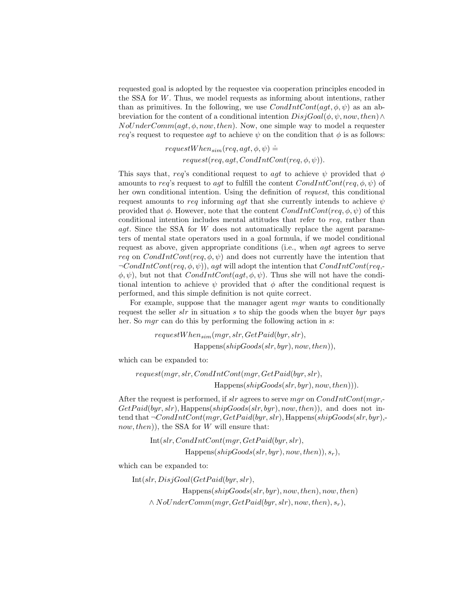requested goal is adopted by the requestee via cooperation principles encoded in the SSA for W. Thus, we model requests as informing about intentions, rather than as primitives. In the following, we use  $CondlntCont(aqt, \phi, \psi)$  as an abbreviation for the content of a conditional intention  $DisjGoal(\phi, \psi, now, then) \wedge$  $NoUnderComm(aqt, \phi, now, then)$ . Now, one simple way to model a requester req's request to requestee agt to achieve  $\psi$  on the condition that  $\phi$  is as follows:

> $requestWhen_{sim}(req,agt,\phi,\psi) \doteq$  $request(req, aqt, CondIntCont(req, \phi, \psi)).$

This says that, req's conditional request to agt to achieve  $\psi$  provided that  $\phi$ amounts to req's request to agt to fulfill the content  $CondlntCont(req, \phi, \psi)$  of her own conditional intention. Using the definition of request, this conditional request amounts to req informing agt that she currently intends to achieve  $\psi$ provided that  $\phi$ . However, note that the content  $CondIntCont(req, \phi, \psi)$  of this conditional intention includes mental attitudes that refer to req, rather than agt. Since the SSA for W does not automatically replace the agent parameters of mental state operators used in a goal formula, if we model conditional request as above, given appropriate conditions (i.e., when agt agrees to serve req on  $CondIntCont(req, \phi, \psi)$  and does not currently have the intention that  $\neg CondIntCont(req, \phi, \psi)$ , agt will adopt the intention that  $CondIntCont(req, -\psi)$  $(\phi, \psi)$ , but not that  $CondIntCont(agt, \phi, \psi)$ . Thus she will not have the conditional intention to achieve  $\psi$  provided that  $\phi$  after the conditional request is performed, and this simple definition is not quite correct.

For example, suppose that the manager agent may wants to conditionally request the seller  $slr$  in situation s to ship the goods when the buyer byr pays her. So *mgr* can do this by performing the following action in s:

 $requestWhen_{sim}(mgr, slr, GetPaid(byr, slr),$ 

 $Happens(shipGoods(slr, byr), now, then)),$ 

which can be expanded to:

request(mgr, slr, CondIntCont(mgr, GetPaid(byr, slr),  $Happens(shipGoods (slr, byr), now, then$  $)).$ 

After the request is performed, if slr agrees to serve mgr on  $CondlntCont(mgr,$  $GetPaid(byr, slr)$ , Happens $(shipGoods(slr, byr)$ , now, then)), and does not intend that  $\neg CondIntCont(mgr, GetPad(byr, slr), Happens(shipGoods(slr, byr),$  $now, then)$ , the SSA for W will ensure that:

> $Int(slr, CondIntCont(mgr, GetPaid(byr, slr)),$  $Happens(shipGoods (slr, byr), now, then)), s_r),$

which can be expanded to:

 $Int(slr, DisjGoal(GetPaid(byr, slr),$ 

 $Happens(shipGoods (slr, byr), now, then), now, then)$  $\wedge \text{NoUnderComm}(\text{mqr}, \text{GetPa}id(\text{byr}, \text{slr}), \text{now}, \text{then}), s_r),$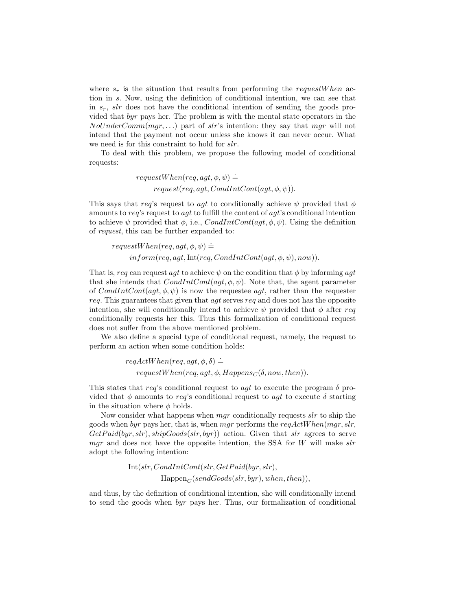where  $s_r$  is the situation that results from performing the requestWhen action in s. Now, using the definition of conditional intention, we can see that in  $s_r$ , slr does not have the conditional intention of sending the goods provided that byr pays her. The problem is with the mental state operators in the  $NoUnderComm(mqr, \ldots)$  part of slr's intention: they say that mqr will not intend that the payment not occur unless she knows it can never occur. What we need is for this constraint to hold for  $slr$ .

To deal with this problem, we propose the following model of conditional requests:

> $requestWhen(req,agt, \phi, \psi) \doteq$  $request(req, aqt, CondIntCont(aqt, \phi, \psi)).$

This says that req's request to agt to conditionally achieve  $\psi$  provided that  $\phi$ amounts to req's request to agt to fulfill the content of agt's conditional intention to achieve  $\psi$  provided that  $\phi$ , i.e.,  $CondIntCont(agt, \phi, \psi)$ . Using the definition of request, this can be further expanded to:

$$
requestWhen (req,agt, \phi, \psi) \doteqinform (req, agt, Int (req, CondIntCont (agt, \phi, \psi), now)).
$$

That is, req can request agt to achieve  $\psi$  on the condition that  $\phi$  by informing agt that she intends that  $CondIntCont(agt, \phi, \psi)$ . Note that, the agent parameter of  $CondlntCont(agt, \phi, \psi)$  is now the requestee agt, rather than the requester req. This guarantees that given that  $agt$  serves req and does not has the opposite intention, she will conditionally intend to achieve  $\psi$  provided that  $\phi$  after req conditionally requests her this. Thus this formalization of conditional request does not suffer from the above mentioned problem.

We also define a special type of conditional request, namely, the request to perform an action when some condition holds:

$$
reqActWhen (req, agt, \phi, \delta) \doteq
$$
  

$$
request When (req, agt, \phi, Happens_C(\delta, now, then)).
$$

This states that req's conditional request to agt to execute the program  $\delta$  provided that  $\phi$  amounts to req's conditional request to agt to execute  $\delta$  starting in the situation where  $\phi$  holds.

Now consider what happens when mgr conditionally requests slr to ship the goods when byr pays her, that is, when mgr performs the reg $ActWhen(mgr, slr,$  $GetPaid(byr, slr), shipGoods(slr, byr))$  action. Given that slr agrees to serve  $mqr$  and does not have the opposite intention, the SSA for W will make  $slr$ adopt the following intention:

```
Int(slr, CondIntCont(slr, GetPaid(byr, slr),
Happen<sub>C</sub>(sendGoods(slr, byr), when, then)).
```
and thus, by the definition of conditional intention, she will conditionally intend to send the goods when byr pays her. Thus, our formalization of conditional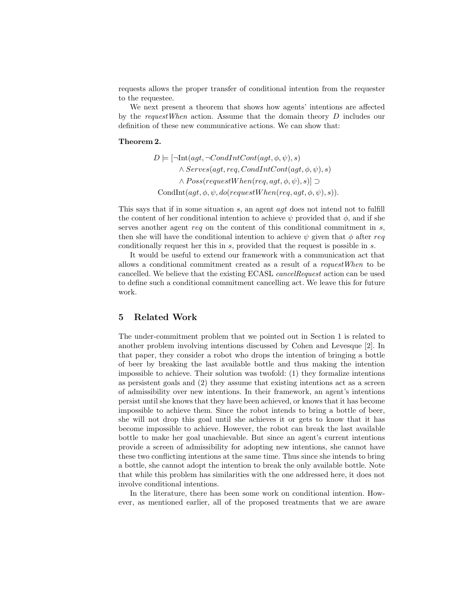requests allows the proper transfer of conditional intention from the requester to the requestee.

We next present a theorem that shows how agents' intentions are affected by the requestWhen action. Assume that the domain theory D includes our definition of these new communicative actions. We can show that:

#### Theorem 2.

$$
D \models [\neg \text{Int}(agt, \neg CondIntCont(agt, \phi, \psi), s) \land Serves(agt, req, CondIntCont(agt, \phi, \psi), s) \land Poss(requestWhen (req,agt, \phi, \psi), s)] \supset
$$
  
Condlnt(agt, \phi, \psi, do(requestWhen (req,agt, \phi, \psi), s)).

This says that if in some situation s, an agent agt does not intend not to fulfill the content of her conditional intention to achieve  $\psi$  provided that  $\phi$ , and if she serves another agent  $req$  on the content of this conditional commitment in  $s$ , then she will have the conditional intention to achieve  $\psi$  given that  $\phi$  after req conditionally request her this in s, provided that the request is possible in s.

It would be useful to extend our framework with a communication act that allows a conditional commitment created as a result of a requestWhen to be cancelled. We believe that the existing ECASL cancelRequest action can be used to define such a conditional commitment cancelling act. We leave this for future work.

# 5 Related Work

The under-commitment problem that we pointed out in Section 1 is related to another problem involving intentions discussed by Cohen and Levesque [2]. In that paper, they consider a robot who drops the intention of bringing a bottle of beer by breaking the last available bottle and thus making the intention impossible to achieve. Their solution was twofold: (1) they formalize intentions as persistent goals and (2) they assume that existing intentions act as a screen of admissibility over new intentions. In their framework, an agent's intentions persist until she knows that they have been achieved, or knows that it has become impossible to achieve them. Since the robot intends to bring a bottle of beer, she will not drop this goal until she achieves it or gets to know that it has become impossible to achieve. However, the robot can break the last available bottle to make her goal unachievable. But since an agent's current intentions provide a screen of admissibility for adopting new intentions, she cannot have these two conflicting intentions at the same time. Thus since she intends to bring a bottle, she cannot adopt the intention to break the only available bottle. Note that while this problem has similarities with the one addressed here, it does not involve conditional intentions.

In the literature, there has been some work on conditional intention. However, as mentioned earlier, all of the proposed treatments that we are aware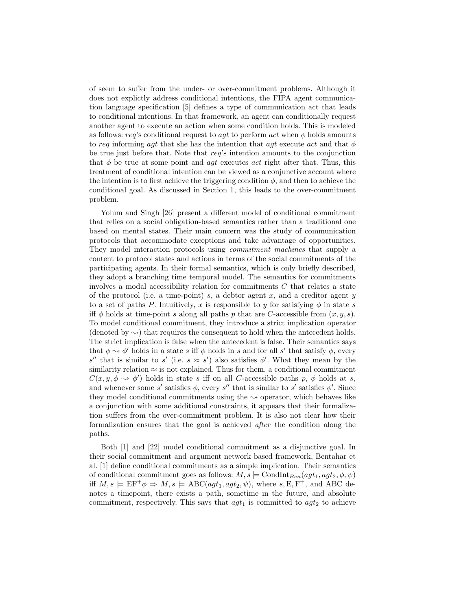of seem to suffer from the under- or over-commitment problems. Although it does not explictly address conditional intentions, the FIPA agent communication language specification [5] defines a type of communication act that leads to conditional intentions. In that framework, an agent can conditionally request another agent to execute an action when some condition holds. This is modeled as follows: req's conditional request to agt to perform  $act$  when  $\phi$  holds amounts to req informing agt that she has the intention that agt execute act and that  $\phi$ be true just before that. Note that req's intention amounts to the conjunction that  $\phi$  be true at some point and *agt* executes *act* right after that. Thus, this treatment of conditional intention can be viewed as a conjunctive account where the intention is to first achieve the triggering condition  $\phi$ , and then to achieve the conditional goal. As discussed in Section 1, this leads to the over-commitment problem.

Yolum and Singh [26] present a different model of conditional commitment that relies on a social obligation-based semantics rather than a traditional one based on mental states. Their main concern was the study of communication protocols that accommodate exceptions and take advantage of opportunities. They model interaction protocols using commitment machines that supply a content to protocol states and actions in terms of the social commitments of the participating agents. In their formal semantics, which is only briefly described, they adopt a branching time temporal model. The semantics for commitments involves a modal accessibility relation for commitments  $C$  that relates a state of the protocol (i.e. a time-point) s, a debtor agent  $x$ , and a creditor agent  $y$ to a set of paths P. Intuitively, x is responsible to y for satisfying  $\phi$  in state s iff  $\phi$  holds at time-point s along all paths p that are C-accessible from  $(x, y, s)$ . To model conditional commitment, they introduce a strict implication operator (denoted by  $\sim$ ) that requires the consequent to hold when the antecedent holds. The strict implication is false when the antecedent is false. Their semantics says that  $\phi \rightsquigarrow \phi'$  holds in a state s iff  $\phi$  holds in s and for all s' that satisfy  $\phi$ , every s'' that is similar to s' (i.e.  $s \approx s'$ ) also satisfies  $\phi'$ . What they mean by the similarity relation  $\approx$  is not explained. Thus for them, a conditional commitment  $C(x, y, \phi \rightsquigarrow \phi')$  holds in state s iff on all C-accessible paths p,  $\phi$  holds at s, and whenever some s' satisfies  $\phi$ , every s'' that is similar to s' satisfies  $\phi'$ . Since they model conditional commitments using the  $\sim$  operator, which behaves like a conjunction with some additional constraints, it appears that their formalization suffers from the over-commitment problem. It is also not clear how their formalization ensures that the goal is achieved after the condition along the paths.

Both [1] and [22] model conditional commitment as a disjunctive goal. In their social commitment and argument network based framework, Bentahar et al. [1] define conditional commitments as a simple implication. Their semantics of conditional commitment goes as follows:  $M, s \models \text{CondInt}_{Ben}(agt_1, ag_2, \phi, \psi)$ iff  $M, s \models EF^+ \phi \Rightarrow M, s \models ABC(ag t_1, ag t_2, \psi)$ , where s, E, F<sup>+</sup>, and ABC denotes a timepoint, there exists a path, sometime in the future, and absolute commitment, respectively. This says that  $agt_1$  is committed to  $agt_2$  to achieve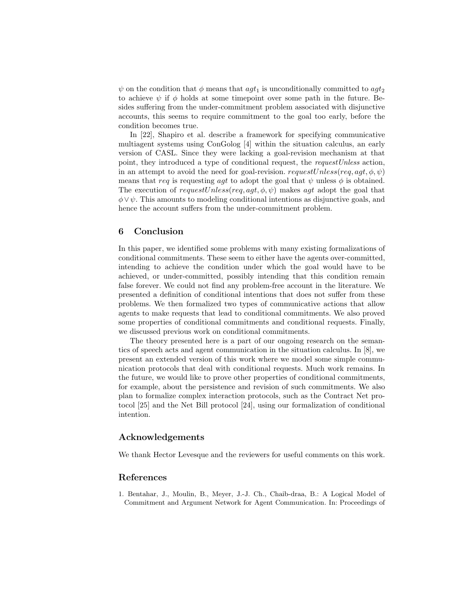$\psi$  on the condition that  $\phi$  means that  $agt_1$  is unconditionally committed to  $agt_2$ to achieve  $\psi$  if  $\phi$  holds at some timepoint over some path in the future. Besides suffering from the under-commitment problem associated with disjunctive accounts, this seems to require commitment to the goal too early, before the condition becomes true.

In [22], Shapiro et al. describe a framework for specifying communicative multiagent systems using ConGolog [4] within the situation calculus, an early version of CASL. Since they were lacking a goal-revision mechanism at that point, they introduced a type of conditional request, the request Unless action, in an attempt to avoid the need for goal-revision. requestUnless(req, agt,  $\phi, \psi$ ) means that req is requesting agt to adopt the goal that  $\psi$  unless  $\phi$  is obtained. The execution of request Unless (req, agt,  $\phi$ ,  $\psi$ ) makes agt adopt the goal that  $\phi \vee \psi$ . This amounts to modeling conditional intentions as disjunctive goals, and hence the account suffers from the under-commitment problem.

### 6 Conclusion

In this paper, we identified some problems with many existing formalizations of conditional commitments. These seem to either have the agents over-committed, intending to achieve the condition under which the goal would have to be achieved, or under-committed, possibly intending that this condition remain false forever. We could not find any problem-free account in the literature. We presented a definition of conditional intentions that does not suffer from these problems. We then formalized two types of communicative actions that allow agents to make requests that lead to conditional commitments. We also proved some properties of conditional commitments and conditional requests. Finally, we discussed previous work on conditional commitments.

The theory presented here is a part of our ongoing research on the semantics of speech acts and agent communication in the situation calculus. In [8], we present an extended version of this work where we model some simple communication protocols that deal with conditional requests. Much work remains. In the future, we would like to prove other properties of conditional commitments, for example, about the persistence and revision of such commitments. We also plan to formalize complex interaction protocols, such as the Contract Net protocol [25] and the Net Bill protocol [24], using our formalization of conditional intention.

### Acknowledgements

We thank Hector Levesque and the reviewers for useful comments on this work.

### References

1. Bentahar, J., Moulin, B., Meyer, J.-J. Ch., Chaib-draa, B.: A Logical Model of Commitment and Argument Network for Agent Communication. In: Proceedings of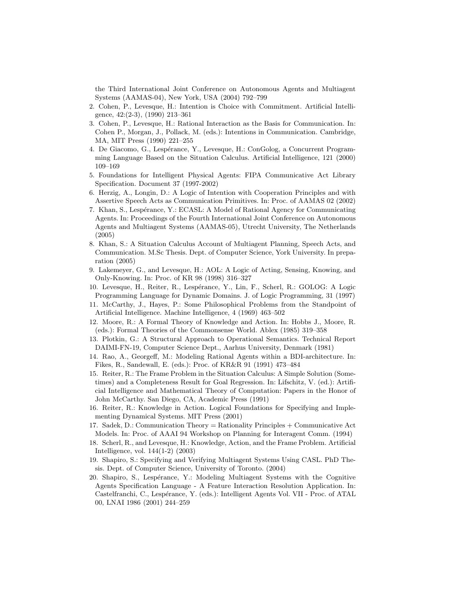the Third International Joint Conference on Autonomous Agents and Multiagent Systems (AAMAS-04), New York, USA (2004) 792–799

- 2. Cohen, P., Levesque, H.: Intention is Choice with Commitment. Artificial Intelligence, 42:(2-3), (1990) 213–361
- 3. Cohen, P., Levesque, H.: Rational Interaction as the Basis for Communication. In: Cohen P., Morgan, J., Pollack, M. (eds.): Intentions in Communication. Cambridge, MA, MIT Press (1990) 221–255
- 4. De Giacomo, G., Lespérance, Y., Levesque, H.: ConGolog, a Concurrent Programming Language Based on the Situation Calculus. Artificial Intelligence, 121 (2000) 109–169
- 5. Foundations for Intelligent Physical Agents: FIPA Communicative Act Library Specification. Document 37 (1997-2002)
- 6. Herzig, A., Longin, D.: A Logic of Intention with Cooperation Principles and with Assertive Speech Acts as Communication Primitives. In: Proc. of AAMAS 02 (2002)
- 7. Khan, S., Lespérance, Y.: ECASL: A Model of Rational Agency for Communicating Agents. In: Proceedings of the Fourth International Joint Conference on Autonomous Agents and Multiagent Systems (AAMAS-05), Utrecht University, The Netherlands (2005)
- 8. Khan, S.: A Situation Calculus Account of Multiagent Planning, Speech Acts, and Communication. M.Sc Thesis. Dept. of Computer Science, York University. In preparation (2005)
- 9. Lakemeyer, G., and Levesque, H.: AOL: A Logic of Acting, Sensing, Knowing, and Only-Knowing. In: Proc. of KR 98 (1998) 316–327
- 10. Levesque, H., Reiter, R., Lespérance, Y., Lin, F., Scherl, R.: GOLOG: A Logic Programming Language for Dynamic Domains. J. of Logic Programming, 31 (1997)
- 11. McCarthy, J., Hayes, P.: Some Philosophical Problems from the Standpoint of Artificial Intelligence. Machine Intelligence, 4 (1969) 463–502
- 12. Moore, R.: A Formal Theory of Knowledge and Action. In: Hobbs J., Moore, R. (eds.): Formal Theories of the Commonsense World. Ablex (1985) 319–358
- 13. Plotkin, G.: A Structural Approach to Operational Semantics. Technical Report DAIMI-FN-19, Computer Science Dept., Aarhus University, Denmark (1981)
- 14. Rao, A., Georgeff, M.: Modeling Rational Agents within a BDI-architecture. In: Fikes, R., Sandewall, E. (eds.): Proc. of KR&R 91 (1991) 473–484
- 15. Reiter, R.: The Frame Problem in the Situation Calculus: A Simple Solution (Sometimes) and a Completeness Result for Goal Regression. In: Lifschitz, V. (ed.): Artificial Intelligence and Mathematical Theory of Computation: Papers in the Honor of John McCarthy. San Diego, CA, Academic Press (1991)
- 16. Reiter, R.: Knowledge in Action. Logical Foundations for Specifying and Implementing Dynamical Systems. MIT Press (2001)
- 17. Sadek, D.: Communication Theory = Rationality Principles + Communicative Act Models. In: Proc. of AAAI 94 Workshop on Planning for Interagent Comm. (1994)
- 18. Scherl, R., and Levesque, H.: Knowledge, Action, and the Frame Problem. Artificial Intelligence, vol. 144(1-2) (2003)
- 19. Shapiro, S.: Specifying and Verifying Multiagent Systems Using CASL. PhD Thesis. Dept. of Computer Science, University of Toronto. (2004)
- 20. Shapiro, S., Lespérance, Y.: Modeling Multiagent Systems with the Cognitive Agents Specification Language - A Feature Interaction Resolution Application. In: Castelfranchi, C., Lespérance, Y. (eds.): Intelligent Agents Vol. VII - Proc. of ATAL 00, LNAI 1986 (2001) 244–259